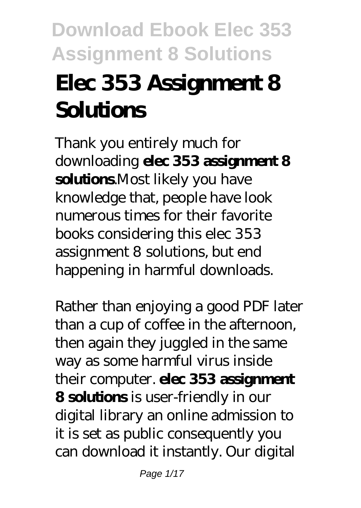# **Elec 353 Assignment 8 Solutions**

Thank you entirely much for downloading **elec 353 assignment 8 solutions**.Most likely you have knowledge that, people have look numerous times for their favorite books considering this elec 353 assignment 8 solutions, but end happening in harmful downloads.

Rather than enjoying a good PDF later than a cup of coffee in the afternoon, then again they juggled in the same way as some harmful virus inside their computer. **elec 353 assignment 8 solutions** is user-friendly in our digital library an online admission to it is set as public consequently you can download it instantly. Our digital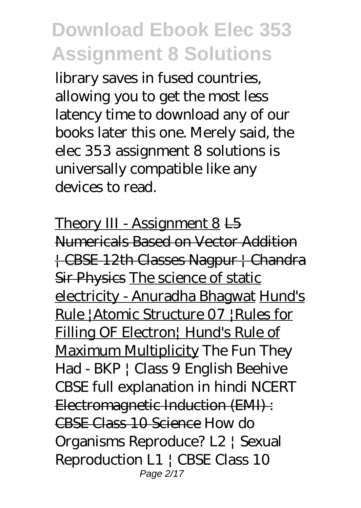library saves in fused countries, allowing you to get the most less latency time to download any of our books later this one. Merely said, the elec 353 assignment 8 solutions is universally compatible like any devices to read.

Theory III - Assignment 8 L5 Numericals Based on Vector Addition | CBSE 12th Classes Nagpur | Chandra Sir Physics The science of static electricity - Anuradha Bhagwat Hund's Rule |Atomic Structure 07 |Rules for Filling OF Electron<sup>|</sup> Hund's Rule of Maximum Multiplicity The Fun They Had - BKP | Class 9 English Beehive CBSE full explanation in hindi NCERT Electromagnetic Induction (EMI) : CBSE Class 10 Science *How do Organisms Reproduce? L2 | Sexual Reproduction L1 | CBSE Class 10* Page 2/17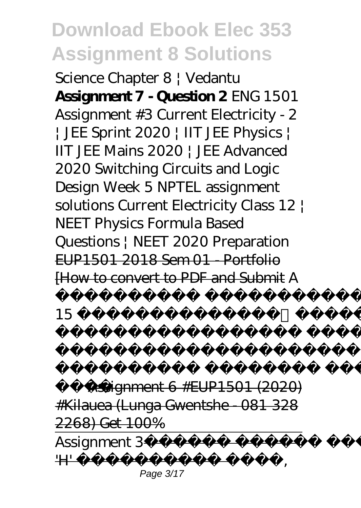*Science Chapter 8 | Vedantu* **Assignment 7 - Question 2** ENG 1501 Assignment #3 Current Electricity - 2 | JEE Sprint 2020 | IIT JEE Physics | IIT JEE Mains 2020 | JEE Advanced 2020 *Switching Circuits and Logic Design Week 5 NPTEL assignment solutions Current Electricity Class 12 | NEET Physics Formula Based Questions | NEET 2020 Preparation* EUP1501 2018 Sem 01 - Portfolio [How to convert to PDF and Submit *A*

*15 गुप्त कमियां और*

*में नहीं जानतेआप A*

*है* Assignment 6 #EUP1501 (2020) #Kilauea (Lunga Gwentshe - 081 328 2268) Get 100% Assignment 3<sup>-1</sup>  $H$  –  $-$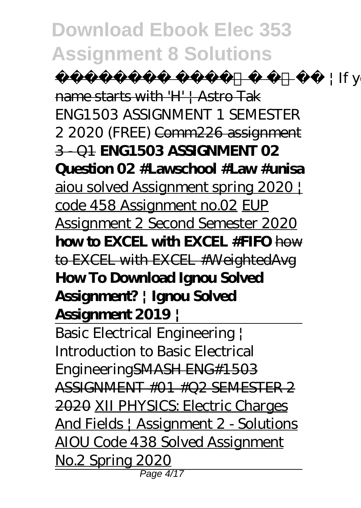$+ \mathrm{If}$  your name starts with 'H' | Astro Tak *ENG1503 ASSIGNMENT 1 SEMESTER 2 2020 (FREE)* Comm226 assignment 3 - Q1 **ENG1503 ASSIGNMENT 02 Question 02 #Lawschool #Law #unisa** aiou solved Assignment spring 2020 | code 458 Assignment no.02 EUP Assignment 2 Second Semester 2020 **how to EXCEL with EXCEL #FIFO** how to EXCEL with EXCEL #WeightedAvg **How To Download Ignou Solved Assignment? | Ignou Solved Assignment 2019 |**

Basic Electrical Engineering | Introduction to Basic Electrical EngineeringSMASH ENG#1503 ASSIGNMENT #01 #Q2 SEMESTER 2 2020 XII PHYSICS: Electric Charges And Fields | Assignment 2 - Solutions AIOU Code 438 Solved Assignment No.2 Spring 2020 Page 4/17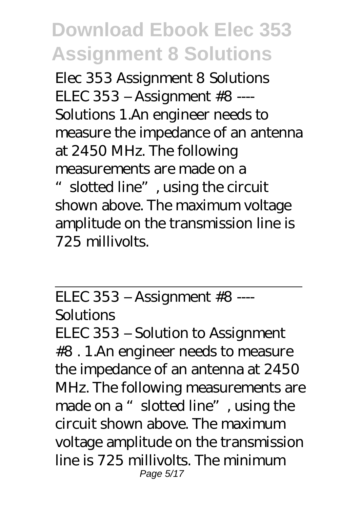Elec 353 Assignment 8 Solutions ELEC 353 – Assignment #8 ---- Solutions 1.An engineer needs to measure the impedance of an antenna at 2450 MHz. The following measurements are made on a

slotted line", using the circuit shown above. The maximum voltage amplitude on the transmission line is 725 millivolts.

ELEC 353 – Assignment #8 ----

Solutions

ELEC 353 – Solution to Assignment #8 . 1.An engineer needs to measure the impedance of an antenna at 2450 MHz. The following measurements are made on a "slotted line", using the circuit shown above. The maximum voltage amplitude on the transmission line is 725 millivolts. The minimum Page 5/17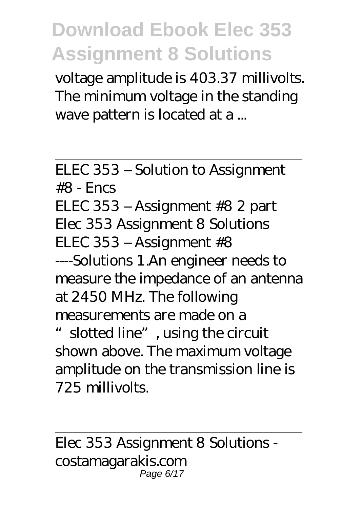voltage amplitude is 403.37 millivolts. The minimum voltage in the standing wave pattern is located at a ...

ELEC 353 – Solution to Assignment  $#8 -$  Encs ELEC 353 – Assignment #8 2 part Elec 353 Assignment 8 Solutions ELEC 353 – Assignment #8 ----Solutions 1.An engineer needs to measure the impedance of an antenna at 2450 MHz. The following measurements are made on a "slotted line", using the circuit shown above. The maximum voltage amplitude on the transmission line is 725 millivolts.

Elec 353 Assignment 8 Solutions costamagarakis.com Page 6/17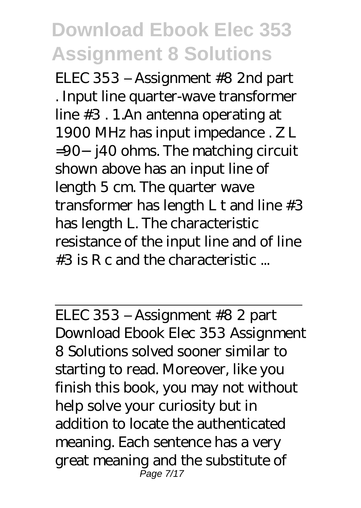ELEC 353 – Assignment #8 2nd part . Input line quarter-wave transformer line #3 . 1.An antenna operating at 1900 MHz has input impedance . Z L =90−j40 ohms. The matching circuit shown above has an input line of length 5 cm. The quarter wave transformer has length L t and line #3 has length L. The characteristic resistance of the input line and of line #3 is R c and the characteristic ...

ELEC 353 – Assignment #8 2 part Download Ebook Elec 353 Assignment 8 Solutions solved sooner similar to starting to read. Moreover, like you finish this book, you may not without help solve your curiosity but in addition to locate the authenticated meaning. Each sentence has a very great meaning and the substitute of Page 7/17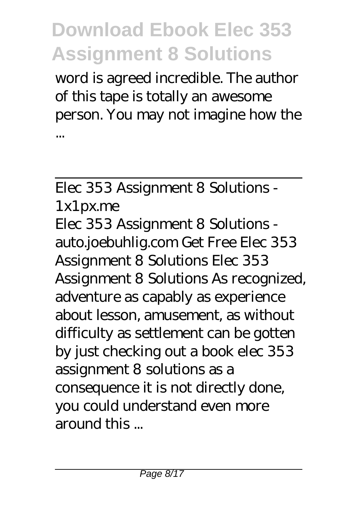word is agreed incredible. The author of this tape is totally an awesome person. You may not imagine how the ...

Elec 353 Assignment 8 Solutions - 1x1px.me Elec 353 Assignment 8 Solutions auto.joebuhlig.com Get Free Elec 353 Assignment 8 Solutions Elec 353 Assignment 8 Solutions As recognized, adventure as capably as experience about lesson, amusement, as without difficulty as settlement can be gotten by just checking out a book elec 353 assignment 8 solutions as a consequence it is not directly done, you could understand even more around this ...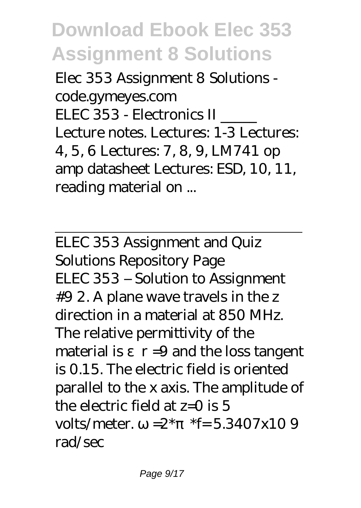Elec 353 Assignment 8 Solutions code.gymeyes.com ELEC 353 - Electronics II \_\_\_\_\_ Lecture notes. Lectures: 1-3 Lectures: 4, 5, 6 Lectures: 7, 8, 9, LM741 op amp datasheet Lectures: ESD, 10, 11, reading material on ...

ELEC 353 Assignment and Quiz Solutions Repository Page ELEC 353 – Solution to Assignment #9 2. A plane wave travels in the z direction in a material at 850 MHz. The relative permittivity of the material is  $r = 9$  and the loss tangent is 0.15. The electric field is oriented parallel to the x axis. The amplitude of the electric field at  $z=0$  is 5 volts/meter.  $=2^*$  \*f= 5.3407x10 9 rad/sec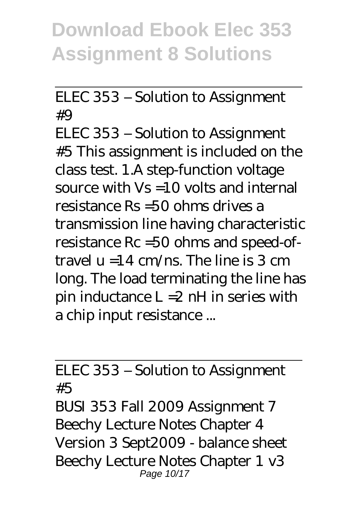ELEC 353 – Solution to Assignment  $#Q$ 

ELEC 353 – Solution to Assignment #5 This assignment is included on the class test. 1.A step-function voltage source with  $Vs = 10$  volts and internal resistance Rs =50 ohms drives a transmission line having characteristic resistance Rc =50 ohms and speed-oftravel  $u = 14$  cm/ns. The line is 3 cm long. The load terminating the line has pin inductance  $L = 2$  nH in series with a chip input resistance ...

ELEC 353 – Solution to Assignment #5

BUSI 353 Fall 2009 Assignment 7 Beechy Lecture Notes Chapter 4 Version 3 Sept2009 - balance sheet Beechy Lecture Notes Chapter 1 v3 Page 10/17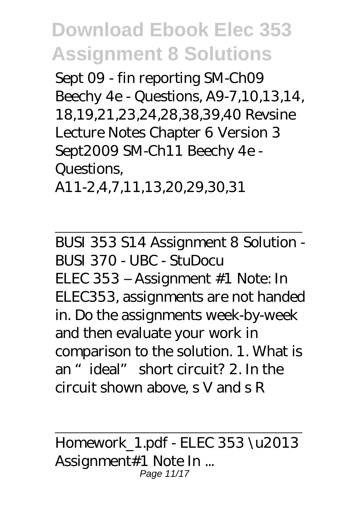Sept 09 - fin reporting SM-Ch09 Beechy 4e - Questions, A9-7,10,13,14, 18,19,21,23,24,28,38,39,40 Revsine Lecture Notes Chapter 6 Version 3 Sept2009 SM-Ch11 Beechy 4e - Questions, A11-2,4,7,11,13,20,29,30,31

BUSI 353 S14 Assignment 8 Solution - BUSI 370 - UBC - StuDocu ELEC 353 – Assignment #1 Note: In ELEC353, assignments are not handed in. Do the assignments week-by-week and then evaluate your work in comparison to the solution. 1. What is an "ideal" short circuit? 2. In the circuit shown above, s V and s R

Homework\_1.pdf - ELEC 353 \u2013 Assignment#1 Note In ... Page 11/17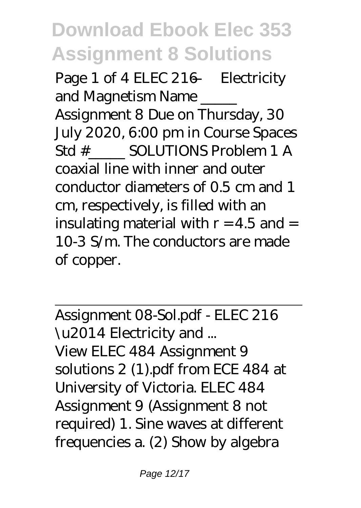Page 1 of 4 ELEC 216 – Electricity and Magnetism Name Assignment 8 Due on Thursday, 30 July 2020, 6:00 pm in Course Spaces Std # SOLUTIONS Problem 1 A coaxial line with inner and outer conductor diameters of 0.5 cm and 1 cm, respectively, is filled with an insulating material with  $r = 4.5$  and  $=$ 10-3 S/m. The conductors are made of copper.

Assignment 08-Sol.pdf - ELEC 216 \u2014 Electricity and ... View ELEC 484 Assignment 9 solutions 2 (1).pdf from ECE 484 at University of Victoria. ELEC 484 Assignment 9 (Assignment 8 not required) 1. Sine waves at different frequencies a. (2) Show by algebra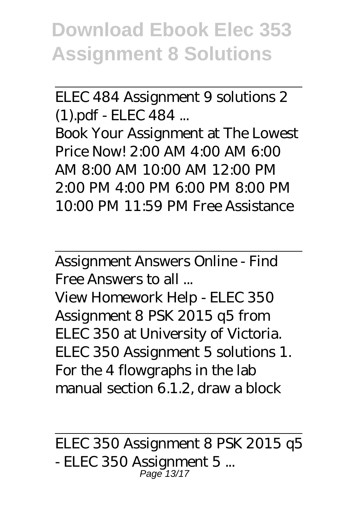ELEC 484 Assignment 9 solutions 2 (1).pdf - ELEC 484 ...

Book Your Assignment at The Lowest Price Now! 2:00 AM 4:00 AM 6:00 AM 8:00 AM 10:00 AM 12:00 PM 2:00 PM 4:00 PM 6:00 PM 8:00 PM 10:00 PM 11:59 PM Free Assistance

Assignment Answers Online - Find Free Answers to all ...

View Homework Help - ELEC 350 Assignment 8 PSK 2015 q5 from ELEC 350 at University of Victoria. ELEC 350 Assignment 5 solutions 1. For the 4 flowgraphs in the lab manual section 6.1.2, draw a block

ELEC 350 Assignment 8 PSK 2015 q5 - ELEC 350 Assignment 5 ... Page 13/17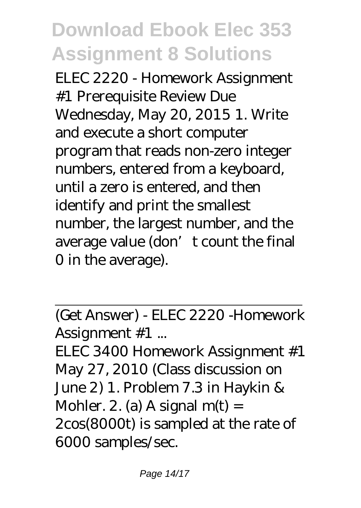ELEC 2220 - Homework Assignment #1 Prerequisite Review Due Wednesday, May 20, 2015 1. Write and execute a short computer program that reads non-zero integer numbers, entered from a keyboard, until a zero is entered, and then identify and print the smallest number, the largest number, and the average value (don't count the final 0 in the average).

(Get Answer) - ELEC 2220 -Homework Assignment #1 ...

ELEC 3400 Homework Assignment #1 May 27, 2010 (Class discussion on June 2) 1. Problem 7.3 in Haykin & Mohler. 2. (a) A signal  $m(t)$  = 2cos(8000t) is sampled at the rate of 6000 samples/sec.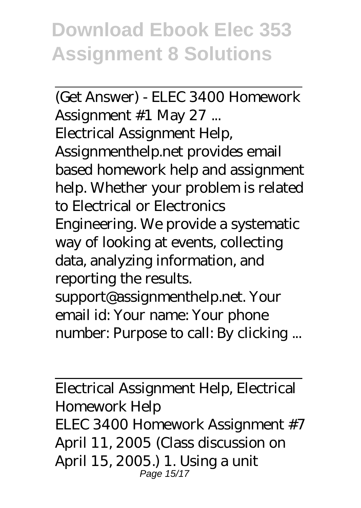(Get Answer) - ELEC 3400 Homework Assignment #1 May 27 ... Electrical Assignment Help, Assignmenthelp.net provides email based homework help and assignment help. Whether your problem is related to Electrical or Electronics Engineering. We provide a systematic way of looking at events, collecting data, analyzing information, and reporting the results. support@assignmenthelp.net. Your email id: Your name: Your phone number: Purpose to call: By clicking ...

Electrical Assignment Help, Electrical Homework Help ELEC 3400 Homework Assignment #7 April 11, 2005 (Class discussion on April 15, 2005.) 1. Using a unit Page 15/17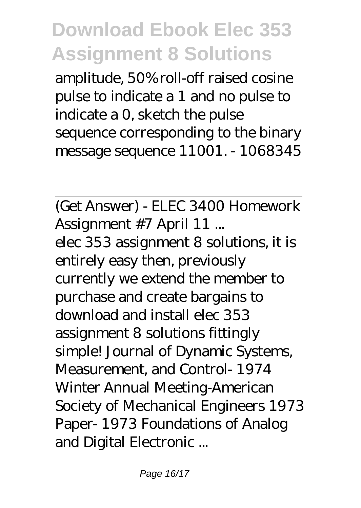amplitude, 50% roll-off raised cosine pulse to indicate a 1 and no pulse to indicate a 0, sketch the pulse sequence corresponding to the binary message sequence 11001. - 1068345

(Get Answer) - ELEC 3400 Homework Assignment #7 April 11 ... elec 353 assignment 8 solutions, it is entirely easy then, previously currently we extend the member to purchase and create bargains to download and install elec 353 assignment 8 solutions fittingly simple! Journal of Dynamic Systems, Measurement, and Control- 1974 Winter Annual Meeting-American Society of Mechanical Engineers 1973 Paper- 1973 Foundations of Analog and Digital Electronic ...